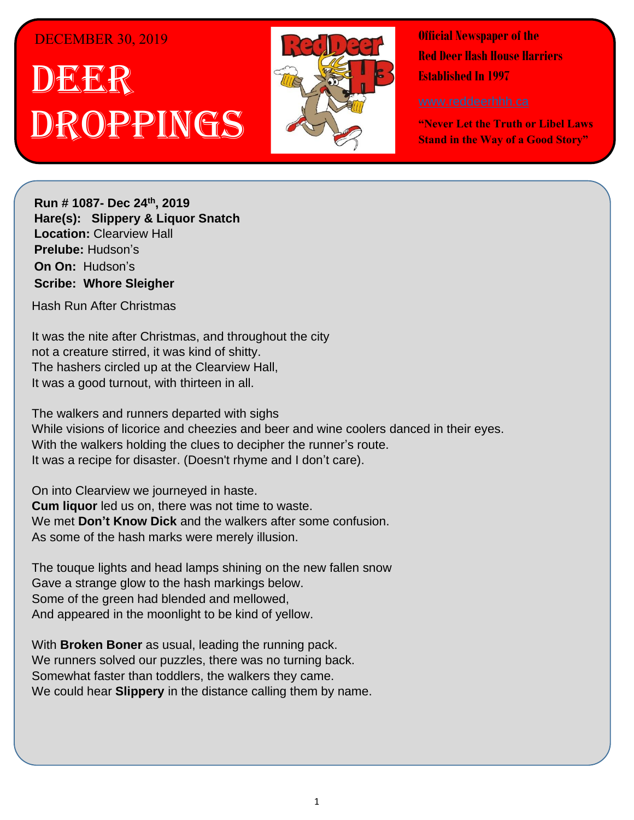## DECEMBER 30, 2019

## . 1 DEER h Droppings



**Official Newspaper of the Red Deer Hash House Harriers Established In 1997** 

**"Never Let the Truth or Libel Laws Stand in the Way of a Good Story"**

**Run # 1075- Oct. 3 rd, 2019 Hare(s): Deep Throat with a little help from her Run # 1087- Dec 24th, 2019 virgin friend Hare(s): Slippery & Liquor Snatch Location: Clearview Hall Prelube:** Hudson's **On On: Hudson's Sir Siri** Traassire *Have you ever just wanted to go out after a hard day of*  **Scribe: Whore Sleigher**

*work and just have a few drinks with some friends and*  Hash Run After Christmas

*possibly go for a run?* not a creature stirred, it was kind of shitty. The hashers circled up at the Clearview Hall, It was a good turnout, with thirteen in all. different gloves and a couple of coats I found…… It was the nite after Christmas, and throughout the city

The walkers and runners departed with sighs While visions of licorice and cheezies and beer and wine coolers danced in their eyes. With the walkers holding the clues to decipher the runner's route.<br>With the walkers holding the clues to decipher the runner's route. It was a recipe for disaster. (Doesn't rhyme and I don't care).

On into Clearview we journeyed in haste. We met **Don't Know Dick** and the walkers after some confusion. As some of the hash marks were merely illusion. **Cum liquor** led us on, there was not time to waste.

*daily self-improvement?* The touque lights and head lamps shining on the new fallen snow Gave a strange glow to the hash markings below. bonie or the green nad biended and menowed, annoy Chips $\mathcal{L}$  The shirt was only so big and top tensor  $\mathcal{L}$ Some of the green had blended and mellowed, And appeared in the moonlight to be kind of yellow.

With **Broken Boner** as usual, leading the running pack. We runners solved our puzzles, there was no turning back. For noting that is run to down, the walkers and you had the mouth but now that we have how the same of the same of the same of the same of the same of the same of the same of the same of the same of the same of the same of you may have not but I have not but I have not but I have not but I have not but I have not but I have not but<br>MA Somewhat faster than toddlers, the walkers they came.

that I think of it, it can stay. I note that  $\mathcal{L}^{\mathcal{A}}$